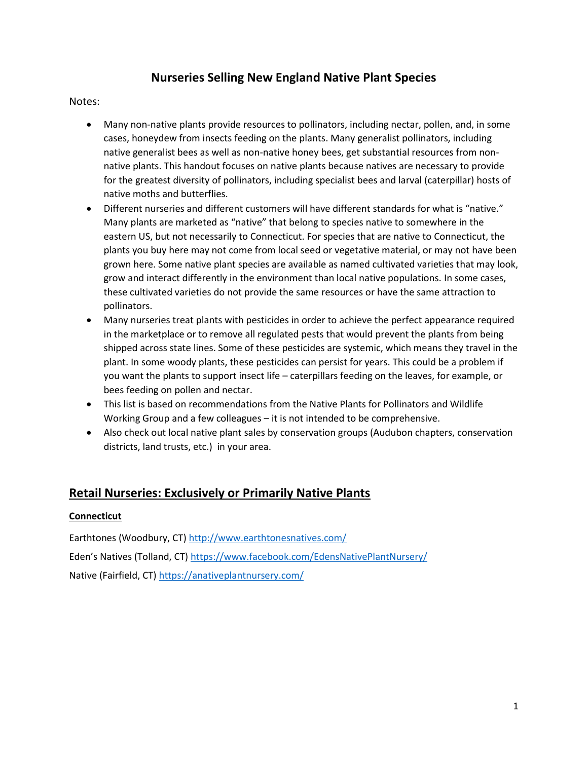# **Nurseries Selling New England Native Plant Species**

#### Notes:

- Many non-native plants provide resources to pollinators, including nectar, pollen, and, in some cases, honeydew from insects feeding on the plants. Many generalist pollinators, including native generalist bees as well as non-native honey bees, get substantial resources from nonnative plants. This handout focuses on native plants because natives are necessary to provide for the greatest diversity of pollinators, including specialist bees and larval (caterpillar) hosts of native moths and butterflies.
- Different nurseries and different customers will have different standards for what is "native." Many plants are marketed as "native" that belong to species native to somewhere in the eastern US, but not necessarily to Connecticut. For species that are native to Connecticut, the plants you buy here may not come from local seed or vegetative material, or may not have been grown here. Some native plant species are available as named cultivated varieties that may look, grow and interact differently in the environment than local native populations. In some cases, these cultivated varieties do not provide the same resources or have the same attraction to pollinators.
- Many nurseries treat plants with pesticides in order to achieve the perfect appearance required in the marketplace or to remove all regulated pests that would prevent the plants from being shipped across state lines. Some of these pesticides are systemic, which means they travel in the plant. In some woody plants, these pesticides can persist for years. This could be a problem if you want the plants to support insect life – caterpillars feeding on the leaves, for example, or bees feeding on pollen and nectar.
- This list is based on recommendations from the Native Plants for Pollinators and Wildlife Working Group and a few colleagues – it is not intended to be comprehensive.
- Also check out local native plant sales by conservation groups (Audubon chapters, conservation districts, land trusts, etc.) in your area.

# **Retail Nurseries: Exclusively or Primarily Native Plants**

### **Connecticut**

Earthtones (Woodbury, CT[\) http://www.earthtonesnatives.com/](http://www.earthtonesnatives.com/) Eden's Natives (Tolland, CT) <https://www.facebook.com/EdensNativePlantNursery/> Native (Fairfield, CT) <https://anativeplantnursery.com/>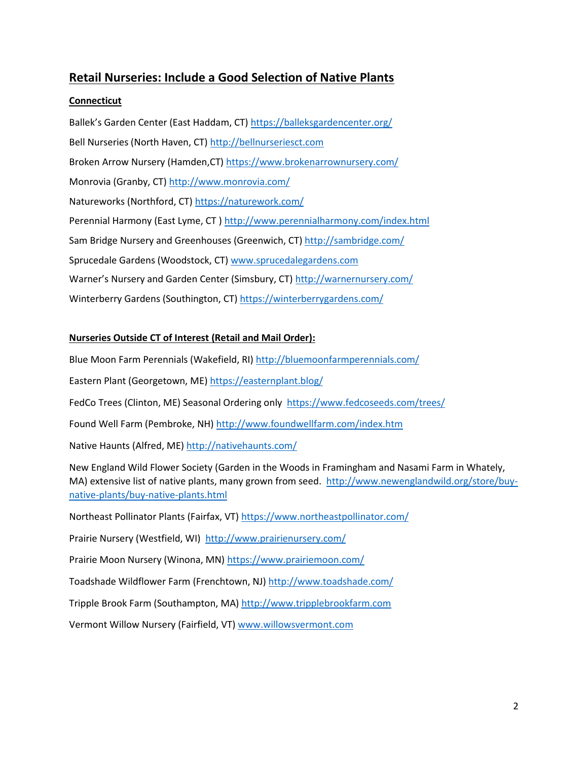# **Retail Nurseries: Include a Good Selection of Native Plants**

## **Connecticut**

Ballek's Garden Center (East Haddam, CT)<https://balleksgardencenter.org/> Bell Nurseries (North Haven, CT[\) http://bellnurseriesct.com](http://bellnurseriesct.com/) Broken Arrow Nursery (Hamden,CT[\) https://www.brokenarrownursery.com/](https://www.brokenarrownursery.com/) Monrovia (Granby, CT)<http://www.monrovia.com/> Natureworks (Northford, CT)<https://naturework.com/> Perennial Harmony (East Lyme, CT [\) http://www.perennialharmony.com/index.html](http://www.perennialharmony.com/index.html) Sam Bridge Nursery and Greenhouses (Greenwich, CT) <http://sambridge.com/> Sprucedale Gardens (Woodstock, CT) [www.sprucedalegardens.com](http://www.sprucedalegardens.com/) Warner's Nursery and Garden Center (Simsbury, CT) <http://warnernursery.com/> Winterberry Gardens (Southington, CT)<https://winterberrygardens.com/>

## **Nurseries Outside CT of Interest (Retail and Mail Order):**

Blue Moon Farm Perennials (Wakefield, RI[\) http://bluemoonfarmperennials.com/](http://bluemoonfarmperennials.com/) Eastern Plant (Georgetown, ME[\) https://easternplant.blog/](https://easternplant.blog/) FedCo Trees (Clinton, ME) Seasonal Ordering only<https://www.fedcoseeds.com/trees/> Found Well Farm (Pembroke, NH)<http://www.foundwellfarm.com/index.htm> Native Haunts (Alfred, ME)<http://nativehaunts.com/> New England Wild Flower Society (Garden in the Woods in Framingham and Nasami Farm in Whately, MA) extensive list of native plants, many grown from seed. [http://www.newenglandwild.org/store/buy](http://www.newenglandwild.org/store/buy-native-plants/buy-native-plants.html)[native-plants/buy-native-plants.html](http://www.newenglandwild.org/store/buy-native-plants/buy-native-plants.html) Northeast Pollinator Plants (Fairfax, VT)<https://www.northeastpollinator.com/> Prairie Nursery (Westfield, WI) <http://www.prairienursery.com/> Prairie Moon Nursery (Winona, MN[\) https://www.prairiemoon.com/](https://www.prairiemoon.com/) Toadshade Wildflower Farm (Frenchtown, NJ[\) http://www.toadshade.com/](http://www.toadshade.com/) Tripple Brook Farm (Southampton, MA) [http://www.tripplebrookfarm.com](http://www.tripplebrookfarm.com/) Vermont Willow Nursery (Fairfield, VT[\) www.willowsvermont.com](http://www.willowsvermont.com/)